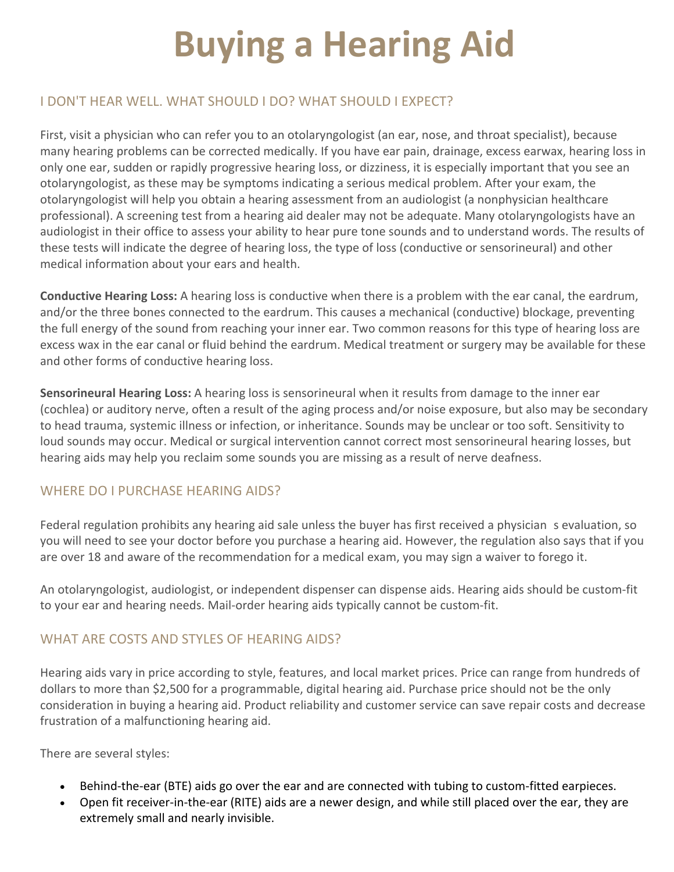# **Buying a Hearing Aid**

# I DON'T HEAR WELL. WHAT SHOULD I DO? WHAT SHOULD I EXPECT?

First, visit a physician who can refer you to an otolaryngologist (an ear, nose, and throat specialist), because many hearing problems can be corrected medically. If you have ear pain, drainage, excess earwax, hearing loss in only one ear, sudden or rapidly progressive hearing loss, or dizziness, it is especially important that you see an otolaryngologist, as these may be symptoms indicating a serious medical problem. After your exam, the otolaryngologist will help you obtain a hearing assessment from an audiologist (a nonphysician healthcare professional). A screening test from a hearing aid dealer may not be adequate. Many otolaryngologists have an audiologist in their office to assess your ability to hear pure tone sounds and to understand words. The results of these tests will indicate the degree of hearing loss, the type of loss (conductive or sensorineural) and other medical information about your ears and health.

**Conductive Hearing Loss:** A hearing loss is conductive when there is a problem with the ear canal, the eardrum, and/or the three bones connected to the eardrum. This causes a mechanical (conductive) blockage, preventing the full energy of the sound from reaching your inner ear. Two common reasons for this type of hearing loss are excess wax in the ear canal or fluid behind the eardrum. Medical treatment or surgery may be available for these and other forms of conductive hearing loss.

**Sensorineural Hearing Loss:** A hearing loss is sensorineural when it results from damage to the inner ear (cochlea) or auditory nerve, often a result of the aging process and/or noise exposure, but also may be secondary to head trauma, systemic illness or infection, or inheritance. Sounds may be unclear or too soft. Sensitivity to loud sounds may occur. Medical or surgical intervention cannot correct most sensorineural hearing losses, but hearing aids may help you reclaim some sounds you are missing as a result of nerve deafness.

# WHERE DO I PURCHASE HEARING AIDS?

Federal regulation prohibits any hearing aid sale unless the buyer has first received a physician s evaluation, so you will need to see your doctor before you purchase a hearing aid. However, the regulation also says that if you are over 18 and aware of the recommendation for a medical exam, you may sign a waiver to forego it.

An otolaryngologist, audiologist, or independent dispenser can dispense aids. Hearing aids should be custom-fit to your ear and hearing needs. Mail-order hearing aids typically cannot be custom-fit.

# WHAT ARE COSTS AND STYLES OF HEARING AIDS?

Hearing aids vary in price according to style, features, and local market prices. Price can range from hundreds of dollars to more than \$2,500 for a programmable, digital hearing aid. Purchase price should not be the only consideration in buying a hearing aid. Product reliability and customer service can save repair costs and decrease frustration of a malfunctioning hearing aid.

There are several styles:

- Behind-the-ear (BTE) aids go over the ear and are connected with tubing to custom-fitted earpieces.
- Open fit receiver-in-the-ear (RITE) aids are a newer design, and while still placed over the ear, they are extremely small and nearly invisible.